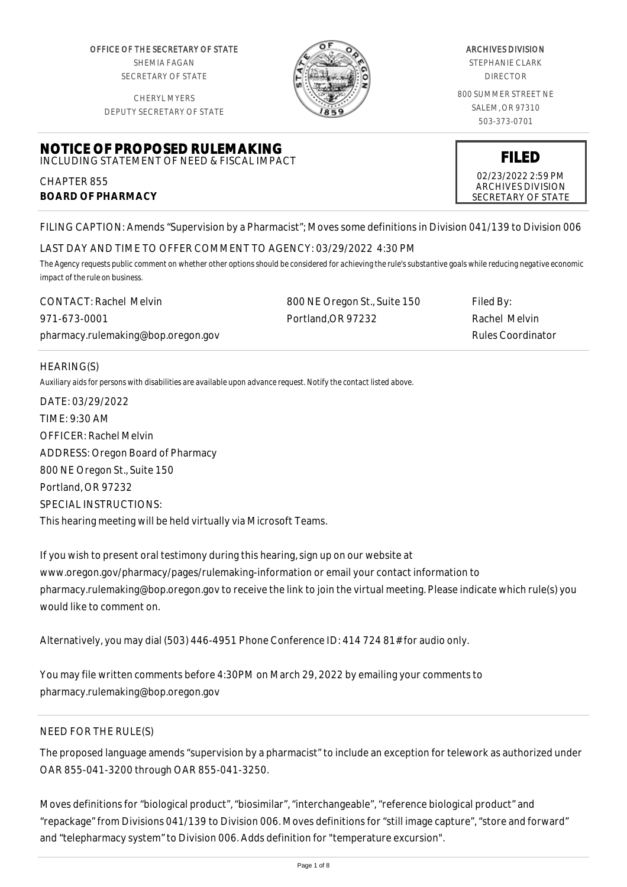OFFICE OF THE SECRETARY OF STATE SHEMIA FAGAN SECRETARY OF STATE

CHERYL MYERS



#### ARCHIVES DIVISION

STEPHANIE CLARK DIRECTOR

800 SUMMER STREET NE SALEM, OR 97310 503-373-0701

> **FILED** 02/23/2022 2:59 PM ARCHIVES DIVISION SECRETARY OF STATE

DEPUTY SECRETARY OF STATE

### **NOTICE OF PROPOSED RULEMAKING** INCLUDING STATEMENT OF NEED & FISCAL IMPACT

CHAPTER 855 **BOARD OF PHARMACY**

FILING CAPTION: Amends "Supervision by a Pharmacist"; Moves some definitions in Division 041/139 to Division 006

# LAST DAY AND TIME TO OFFER COMMENT TO AGENCY: 03/29/2022 4:30 PM

*The Agency requests public comment on whether other options should be considered for achieving the rule's substantive goals while reducing negative economic impact of the rule on business.*

| <b>CONTACT: Rachel Melvin</b>      | 800 NE Oregon St., Suite 150 | Filed By:                |
|------------------------------------|------------------------------|--------------------------|
| 971-673-0001                       | Portland.OR 97232            | Rachel Melvin            |
| pharmacy.rulemaking@bop.oregon.gov |                              | <b>Rules Coordinator</b> |

## HEARING(S)

*Auxiliary aids for persons with disabilities are available upon advance request. Notify the contact listed above.*

DATE: 03/29/2022 TIME: 9:30 AM OFFICER: Rachel Melvin ADDRESS: Oregon Board of Pharmacy 800 NE Oregon St., Suite 150 Portland, OR 97232 SPECIAL INSTRUCTIONS: This hearing meeting will be held virtually via Microsoft Teams.

If you wish to present oral testimony during this hearing, sign up on our website at www.oregon.gov/pharmacy/pages/rulemaking-information or email your contact information to pharmacy.rulemaking@bop.oregon.gov to receive the link to join the virtual meeting. Please indicate which rule(s) you would like to comment on.

Alternatively, you may dial (503) 446-4951 Phone Conference ID: 414 724 81# for audio only.

You may file written comments before 4:30PM on March 29, 2022 by emailing your comments to pharmacy.rulemaking@bop.oregon.gov

# NEED FOR THE RULE(S)

The proposed language amends "supervision by a pharmacist" to include an exception for telework as authorized under OAR 855-041-3200 through OAR 855-041-3250.

Moves definitions for "biological product", "biosimilar", "interchangeable", "reference biological product" and "repackage" from Divisions 041/139 to Division 006. Moves definitions for "still image capture", "store and forward" and "telepharmacy system" to Division 006. Adds definition for "temperature excursion".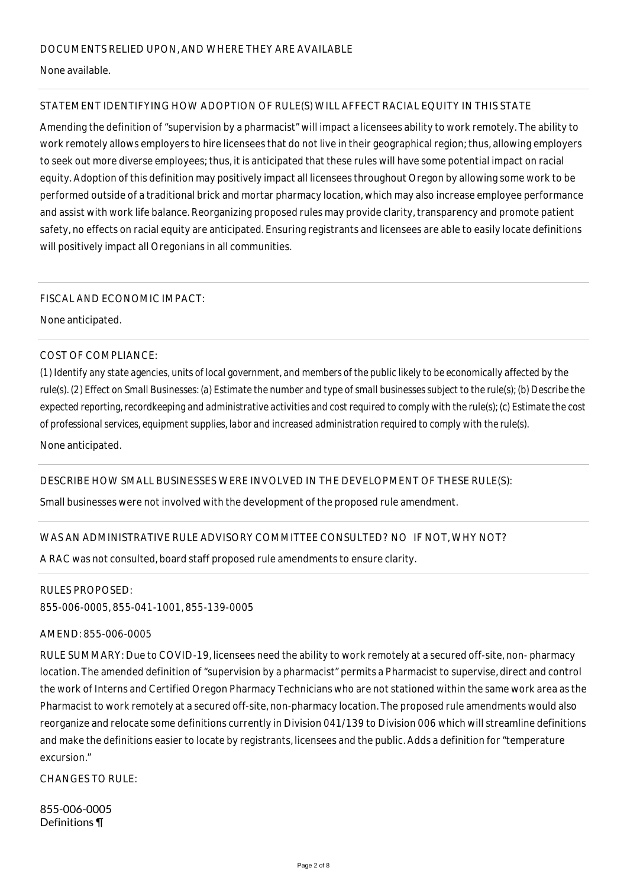None available.

# STATEMENT IDENTIFYING HOW ADOPTION OF RULE(S) WILL AFFECT RACIAL EQUITY IN THIS STATE

Amending the definition of "supervision by a pharmacist" will impact a licensees ability to work remotely. The ability to work remotely allows employers to hire licensees that do not live in their geographical region; thus, allowing employers to seek out more diverse employees; thus, it is anticipated that these rules will have some potential impact on racial equity. Adoption of this definition may positively impact all licensees throughout Oregon by allowing some work to be performed outside of a traditional brick and mortar pharmacy location, which may also increase employee performance and assist with work life balance. Reorganizing proposed rules may provide clarity, transparency and promote patient safety, no effects on racial equity are anticipated. Ensuring registrants and licensees are able to easily locate definitions will positively impact all Oregonians in all communities.

## FISCAL AND ECONOMIC IMPACT:

None anticipated.

## COST OF COMPLIANCE:

*(1) Identify any state agencies, units of local government, and members of the public likely to be economically affected by the rule(s). (2) Effect on Small Businesses: (a) Estimate the number and type of small businesses subject to the rule(s); (b) Describe the expected reporting, recordkeeping and administrative activities and cost required to comply with the rule(s); (c) Estimate the cost of professional services, equipment supplies, labor and increased administration required to comply with the rule(s).*

None anticipated.

# DESCRIBE HOW SMALL BUSINESSES WERE INVOLVED IN THE DEVELOPMENT OF THESE RULE(S):

Small businesses were not involved with the development of the proposed rule amendment.

# WAS AN ADMINISTRATIVE RULE ADVISORY COMMITTEE CONSULTED? NO IF NOT, WHY NOT?

A RAC was not consulted, board staff proposed rule amendments to ensure clarity.

# RULES PROPOSED:

855-006-0005, 855-041-1001, 855-139-0005

#### AMEND: 855-006-0005

RULE SUMMARY: Due to COVID-19, licensees need the ability to work remotely at a secured off-site, non- pharmacy location. The amended definition of "supervision by a pharmacist" permits a Pharmacist to supervise, direct and control the work of Interns and Certified Oregon Pharmacy Technicians who are not stationed within the same work area as the Pharmacist to work remotely at a secured off-site, non-pharmacy location. The proposed rule amendments would also reorganize and relocate some definitions currently in Division 041/139 to Division 006 which will streamline definitions and make the definitions easier to locate by registrants, licensees and the public. Adds a definition for "temperature excursion."

CHANGES TO RULE:

855-006-0005 Definitions ¶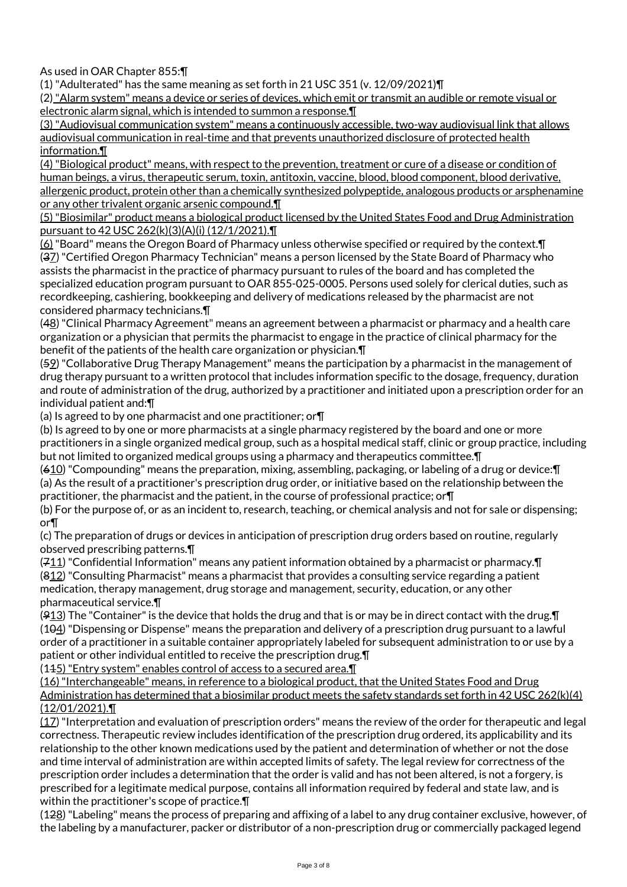As used in OAR Chapter 855:¶

(1) "Adulterated" has the same meaning as set forth in 21 USC 351 (v. 12/09/2021)¶

(2) "Alarm system" means a device or series of devices, which emit or transmit an audible or remote visual or electronic alarm signal, which is intended to summon a response.¶

(3) "Audiovisual communication system" means a continuously accessible, two-way audiovisual link that allows audiovisual communication in real-time and that prevents unauthorized disclosure of protected health information.¶

(4) "Biological product" means, with respect to the prevention, treatment or cure of a disease or condition of human beings, a virus, therapeutic serum, toxin, antitoxin, vaccine, blood, blood component, blood derivative, allergenic product, protein other than a chemically synthesized polypeptide, analogous products or arsphenamine or any other trivalent organic arsenic compound.¶

(5) "Biosimilar" product means a biological product licensed by the United States Food and Drug Administration pursuant to 42 USC 262(k)(3)(A)(i) (12/1/2021).¶

(6) "Board" means the Oregon Board of Pharmacy unless otherwise specified or required by the context.¶ (37) "Certified Oregon Pharmacy Technician" means a person licensed by the State Board of Pharmacy who assists the pharmacist in the practice of pharmacy pursuant to rules of the board and has completed the specialized education program pursuant to OAR 855-025-0005. Persons used solely for clerical duties, such as recordkeeping, cashiering, bookkeeping and delivery of medications released by the pharmacist are not considered pharmacy technicians.¶

(48) "Clinical Pharmacy Agreement" means an agreement between a pharmacist or pharmacy and a health care organization or a physician that permits the pharmacist to engage in the practice of clinical pharmacy for the benefit of the patients of the health care organization or physician.¶

(59) "Collaborative Drug Therapy Management" means the participation by a pharmacist in the management of drug therapy pursuant to a written protocol that includes information specific to the dosage, frequency, duration and route of administration of the drug, authorized by a practitioner and initiated upon a prescription order for an individual patient and:¶

(a) Is agreed to by one pharmacist and one practitioner; or¶

(b) Is agreed to by one or more pharmacists at a single pharmacy registered by the board and one or more practitioners in a single organized medical group, such as a hospital medical staff, clinic or group practice, including but not limited to organized medical groups using a pharmacy and therapeutics committee.¶

(610) "Compounding" means the preparation, mixing, assembling, packaging, or labeling of a drug or device:¶ (a) As the result of a practitioner's prescription drug order, or initiative based on the relationship between the practitioner, the pharmacist and the patient, in the course of professional practice; or¶

(b) For the purpose of, or as an incident to, research, teaching, or chemical analysis and not for sale or dispensing; or¶

(c) The preparation of drugs or devices in anticipation of prescription drug orders based on routine, regularly observed prescribing patterns.¶

(711) "Confidential Information" means any patient information obtained by a pharmacist or pharmacy.¶ (812) "Consulting Pharmacist" means a pharmacist that provides a consulting service regarding a patient medication, therapy management, drug storage and management, security, education, or any other pharmaceutical service.¶

 $(913)$  The "Container" is the device that holds the drug and that is or may be in direct contact with the drug. I (104) "Dispensing or Dispense" means the preparation and delivery of a prescription drug pursuant to a lawful order of a practitioner in a suitable container appropriately labeled for subsequent administration to or use by a patient or other individual entitled to receive the prescription drug.¶

(145) "Entry system" enables control of access to a secured area.

(16) "Interchangeable" means, in reference to a biological product, that the United States Food and Drug Administration has determined that a biosimilar product meets the safety standards set forth in 42 USC 262(k)(4) (12/01/2021).¶

(17) "Interpretation and evaluation of prescription orders" means the review of the order for therapeutic and legal correctness. Therapeutic review includes identification of the prescription drug ordered, its applicability and its relationship to the other known medications used by the patient and determination of whether or not the dose and time interval of administration are within accepted limits of safety. The legal review for correctness of the prescription order includes a determination that the order is valid and has not been altered, is not a forgery, is prescribed for a legitimate medical purpose, contains all information required by federal and state law, and is within the practitioner's scope of practice.¶

(128) "Labeling" means the process of preparing and affixing of a label to any drug container exclusive, however, of the labeling by a manufacturer, packer or distributor of a non-prescription drug or commercially packaged legend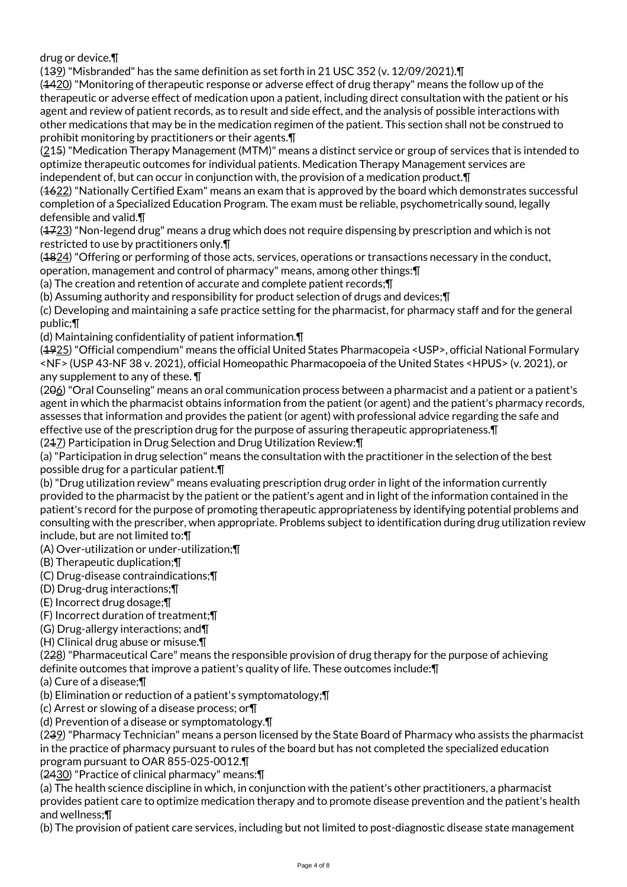drug or device.¶

(139) "Misbranded" has the same definition as set forth in 21 USC 352 (v. 12/09/2021).¶

(4420) "Monitoring of therapeutic response or adverse effect of drug therapy" means the follow up of the therapeutic or adverse effect of medication upon a patient, including direct consultation with the patient or his agent and review of patient records, as to result and side effect, and the analysis of possible interactions with other medications that may be in the medication regimen of the patient. This section shall not be construed to prohibit monitoring by practitioners or their agents.¶

(215) "Medication Therapy Management (MTM)" means a distinct service or group of services that is intended to optimize therapeutic outcomes for individual patients. Medication Therapy Management services are independent of, but can occur in conjunction with, the provision of a medication product.¶

(1622) "Nationally Certified Exam" means an exam that is approved by the board which demonstrates successful completion of a Specialized Education Program. The exam must be reliable, psychometrically sound, legally defensible and valid.¶

 $(4723)$  "Non-legend drug" means a drug which does not require dispensing by prescription and which is not restricted to use by practitioners only.¶

(4824) "Offering or performing of those acts, services, operations or transactions necessary in the conduct, operation, management and control of pharmacy" means, among other things:¶

(a) The creation and retention of accurate and complete patient records;¶

(b) Assuming authority and responsibility for product selection of drugs and devices;¶

(c) Developing and maintaining a safe practice setting for the pharmacist, for pharmacy staff and for the general public;¶

(d) Maintaining confidentiality of patient information.¶

(1925) "Official compendium" means the official United States Pharmacopeia <USP>, official National Formulary <NF> (USP 43-NF 38 v. 2021), official Homeopathic Pharmacopoeia of the United States <HPUS> (v. 2021), or any supplement to any of these. ¶

(206) "Oral Counseling" means an oral communication process between a pharmacist and a patient or a patient's agent in which the pharmacist obtains information from the patient (or agent) and the patient's pharmacy records, assesses that information and provides the patient (or agent) with professional advice regarding the safe and effective use of the prescription drug for the purpose of assuring therapeutic appropriateness.¶ (247) Participation in Drug Selection and Drug Utilization Review: \[

(a) "Participation in drug selection" means the consultation with the practitioner in the selection of the best possible drug for a particular patient.¶

(b) "Drug utilization review" means evaluating prescription drug order in light of the information currently provided to the pharmacist by the patient or the patient's agent and in light of the information contained in the patient's record for the purpose of promoting therapeutic appropriateness by identifying potential problems and consulting with the prescriber, when appropriate. Problems subject to identification during drug utilization review include, but are not limited to:¶

(A) Over-utilization or under-utilization;¶

(B) Therapeutic duplication;¶

(C) Drug-disease contraindications;¶

(D) Drug-drug interactions;¶

(E) Incorrect drug dosage;¶

(F) Incorrect duration of treatment;¶

(G) Drug-allergy interactions; and¶

(H) Clinical drug abuse or misuse.¶

(228) "Pharmaceutical Care" means the responsible provision of drug therapy for the purpose of achieving definite outcomes that improve a patient's quality of life. These outcomes include:¶

(a) Cure of a disease;¶

(b) Elimination or reduction of a patient's symptomatology;¶

(c) Arrest or slowing of a disease process; or¶

(d) Prevention of a disease or symptomatology.¶

(239) "Pharmacy Technician" means a person licensed by the State Board of Pharmacy who assists the pharmacist in the practice of pharmacy pursuant to rules of the board but has not completed the specialized education program pursuant to OAR 855-025-0012.¶

(2430) "Practice of clinical pharmacy" means:¶

(a) The health science discipline in which, in conjunction with the patient's other practitioners, a pharmacist provides patient care to optimize medication therapy and to promote disease prevention and the patient's health and wellness;¶

(b) The provision of patient care services, including but not limited to post-diagnostic disease state management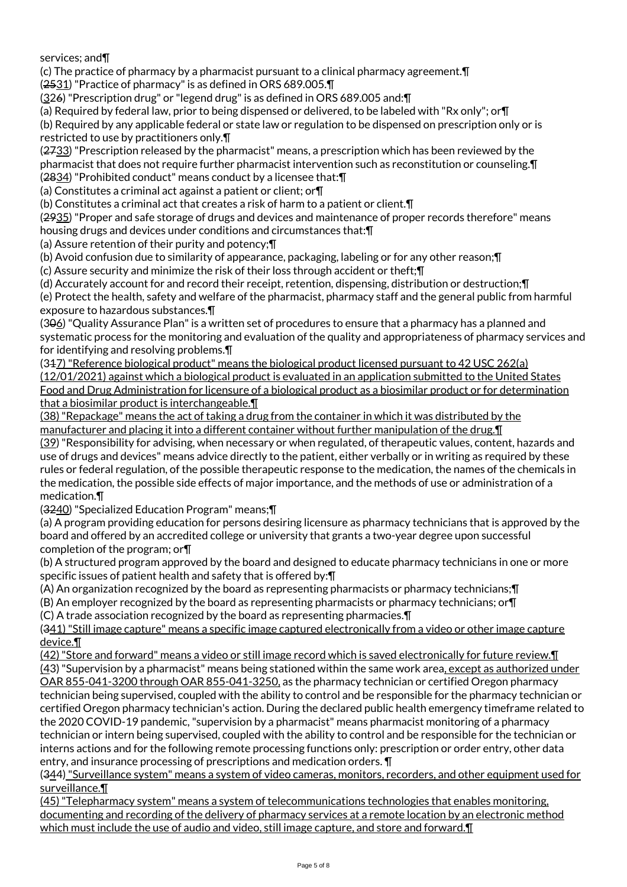services; and¶

(c) The practice of pharmacy by a pharmacist pursuant to a clinical pharmacy agreement.¶

(2531) "Practice of pharmacy" is as defined in ORS 689.005.¶

(326) "Prescription drug" or "legend drug" is as defined in ORS 689.005 and:¶

(a) Required by federal law, prior to being dispensed or delivered, to be labeled with "Rx only"; or¶

(b) Required by any applicable federal or state law or regulation to be dispensed on prescription only or is restricted to use by practitioners only.¶

(2733) "Prescription released by the pharmacist" means, a prescription which has been reviewed by the pharmacist that does not require further pharmacist intervention such as reconstitution or counseling.¶ (2834) "Prohibited conduct" means conduct by a licensee that:¶

(a) Constitutes a criminal act against a patient or client; or¶

(b) Constitutes a criminal act that creates a risk of harm to a patient or client.¶

(2935) "Proper and safe storage of drugs and devices and maintenance of proper records therefore" means housing drugs and devices under conditions and circumstances that:¶

(a) Assure retention of their purity and potency;¶

(b) Avoid confusion due to similarity of appearance, packaging, labeling or for any other reason;¶

(c) Assure security and minimize the risk of their loss through accident or theft;¶

(d) Accurately account for and record their receipt, retention, dispensing, distribution or destruction;¶

(e) Protect the health, safety and welfare of the pharmacist, pharmacy staff and the general public from harmful exposure to hazardous substances.¶

(306) "Quality Assurance Plan" is a written set of procedures to ensure that a pharmacy has a planned and systematic process for the monitoring and evaluation of the quality and appropriateness of pharmacy services and for identifying and resolving problems.¶

(317) "Reference biological product" means the biological product licensed pursuant to 42 USC 262(a) (12/01/2021) against which a biological product is evaluated in an application submitted to the United States Food and Drug Administration for licensure of a biological product as a biosimilar product or for determination that a biosimilar product is interchangeable.¶

(38) "Repackage" means the act of taking a drug from the container in which it was distributed by the manufacturer and placing it into a different container without further manipulation of the drug. I

(39) "Responsibility for advising, when necessary or when regulated, of therapeutic values, content, hazards and use of drugs and devices" means advice directly to the patient, either verbally or in writing as required by these rules or federal regulation, of the possible therapeutic response to the medication, the names of the chemicals in the medication, the possible side effects of major importance, and the methods of use or administration of a medication.¶

(3240) "Specialized Education Program" means;¶

(a) A program providing education for persons desiring licensure as pharmacy technicians that is approved by the board and offered by an accredited college or university that grants a two-year degree upon successful completion of the program; or¶

(b) A structured program approved by the board and designed to educate pharmacy technicians in one or more specific issues of patient health and safety that is offered by:¶

(A) An organization recognized by the board as representing pharmacists or pharmacy technicians;¶

(B) An employer recognized by the board as representing pharmacists or pharmacy technicians; or¶

(C) A trade association recognized by the board as representing pharmacies.¶

(341) "Still image capture" means a specific image captured electronically from a video or other image capture device.¶

(42) "Store and forward" means a video or still image record which is saved electronically for future review.¶

(43) "Supervision by a pharmacist" means being stationed within the same work area, except as authorized under OAR 855-041-3200 through OAR 855-041-3250, as the pharmacy technician or certified Oregon pharmacy technician being supervised, coupled with the ability to control and be responsible for the pharmacy technician or certified Oregon pharmacy technician's action. During the declared public health emergency timeframe related to the 2020 COVID-19 pandemic, "supervision by a pharmacist" means pharmacist monitoring of a pharmacy technician or intern being supervised, coupled with the ability to control and be responsible for the technician or interns actions and for the following remote processing functions only: prescription or order entry, other data entry, and insurance processing of prescriptions and medication orders. ¶

(344) "Surveillance system" means a system of video cameras, monitors, recorders, and other equipment used for surveillance.¶

(45) "Telepharmacy system" means a system of telecommunications technologies that enables monitoring, documenting and recording of the delivery of pharmacy services at a remote location by an electronic method which must include the use of audio and video, still image capture, and store and forward.¶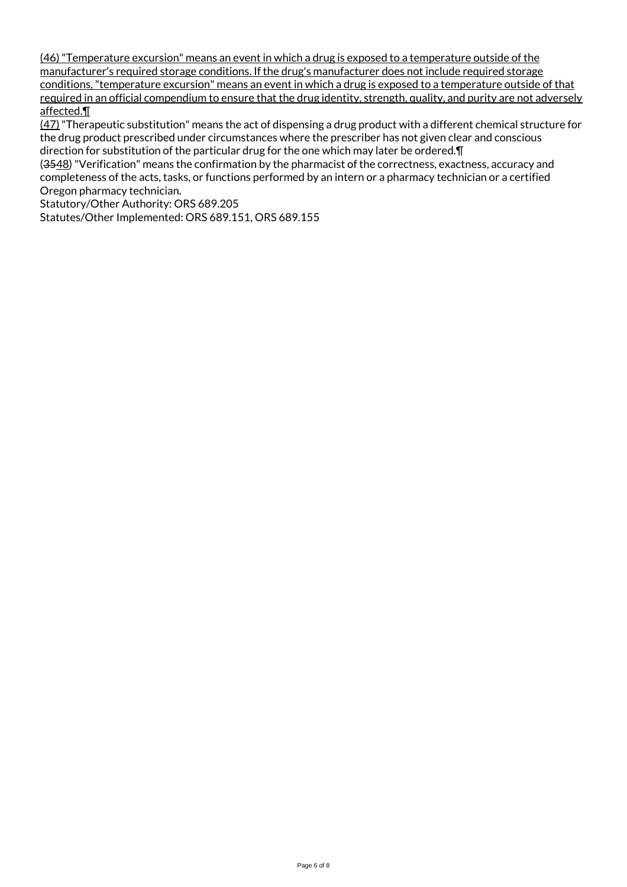(46) "Temperature excursion" means an event in which a drug is exposed to a temperature outside of the manufacturer's required storage conditions. If the drug's manufacturer does not include required storage conditions, "temperature excursion" means an event in which a drug is exposed to a temperature outside of that required in an official compendium to ensure that the drug identity, strength, quality, and purity are not adversely affected.¶

(47) "Therapeutic substitution" means the act of dispensing a drug product with a different chemical structure for the drug product prescribed under circumstances where the prescriber has not given clear and conscious direction for substitution of the particular drug for the one which may later be ordered.¶

(3548) "Verification" means the confirmation by the pharmacist of the correctness, exactness, accuracy and completeness of the acts, tasks, or functions performed by an intern or a pharmacy technician or a certified Oregon pharmacy technician.

Statutory/Other Authority: ORS 689.205

Statutes/Other Implemented: ORS 689.151, ORS 689.155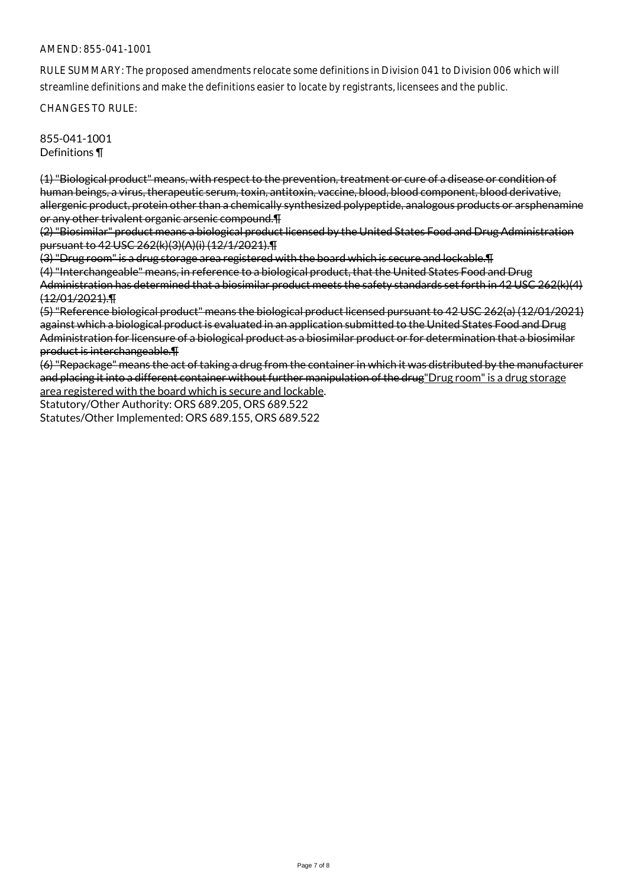### AMEND: 855-041-1001

RULE SUMMARY: The proposed amendments relocate some definitions in Division 041 to Division 006 which will streamline definitions and make the definitions easier to locate by registrants, licensees and the public.

CHANGES TO RULE:

855-041-1001 Definitions ¶

(1) "Biological product" means, with respect to the prevention, treatment or cure of a disease or condition of human beings, a virus, therapeutic serum, toxin, antitoxin, vaccine, blood, blood component, blood derivative, allergenic product, protein other than a chemically synthesized polypeptide, analogous products or arsphenamine or any other trivalent organic arsenic compound.¶

(2) "Biosimilar" product means a biological product licensed by the United States Food and Drug Administration pursuant to 42 USC 262(k)(3)(A)(i) (12/1/2021).¶

(3) "Drug room" is a drug storage area registered with the board which is secure and lockable.¶

(4) "Interchangeable" means, in reference to a biological product, that the United States Food and Drug Administration has determined that a biosimilar product meets the safety standards set forth in 42 USC 262(k)(4) (12/01/2021).¶

(5) "Reference biological product" means the biological product licensed pursuant to 42 USC 262(a) (12/01/2021) against which a biological product is evaluated in an application submitted to the United States Food and Drug Administration for licensure of a biological product as a biosimilar product or for determination that a biosimilar product is interchangeable.¶

(6) "Repackage" means the act of taking a drug from the container in which it was distributed by the manufacturer and placing it into a different container without further manipulation of the drug"Drug room" is a drug storage area registered with the board which is secure and lockable.

Statutory/Other Authority: ORS 689.205, ORS 689.522 Statutes/Other Implemented: ORS 689.155, ORS 689.522